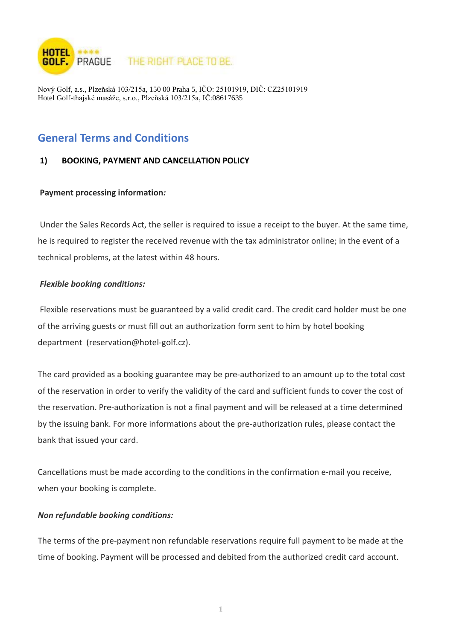

Nový Golf, a.s., Plzeňská 103/215a, 150 00 Praha 5, IČO: 25101919, DIČ: CZ25101919 Hotel Golf-thajské masáže, s.r.o., Plzeňská 103/215a, IČ:08617635

# **General Terms and Conditions**

### **1) BOOKING, PAYMENT AND CANCELLATION POLICY**

#### **Payment processing information***:*

Under the Sales Records Act, the seller is required to issue a receipt to the buyer. At the same time, he is required to register the received revenue with the tax administrator online; in the event of a technical problems, at the latest within 48 hours.

#### *Flexible booking conditions:*

Flexible reservations must be guaranteed by a valid credit card. The credit card holder must be one of the arriving guests or must fill out an authorization form sent to him by hotel booking department (reservation@hotel-golf.cz).

The card provided as a booking guarantee may be pre-authorized to an amount up to the total cost of the reservation in order to verify the validity of the card and sufficient funds to cover the cost of the reservation. Pre-authorization is not a final payment and will be released at a time determined by the issuing bank. For more informations about the pre-authorization rules, please contact the bank that issued your card.

Cancellations must be made according to the conditions in the confirmation e-mail you receive, when your booking is complete.

#### *Non refundable booking conditions:*

The terms of the pre-payment non refundable reservations require full payment to be made at the time of booking. Payment will be processed and debited from the authorized credit card account.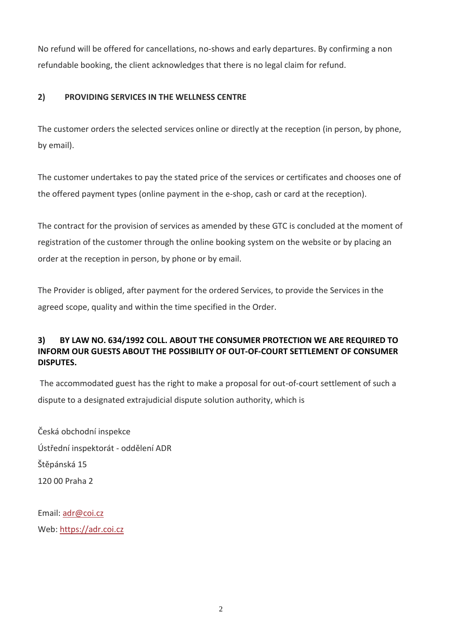No refund will be offered for cancellations, no-shows and early departures. By confirming a non refundable booking, the client acknowledges that there is no legal claim for refund.

### **2) PROVIDING SERVICES IN THE WELLNESS CENTRE**

The customer orders the selected services online or directly at the reception (in person, by phone, by email).

The customer undertakes to pay the stated price of the services or certificates and chooses one of the offered payment types (online payment in the e-shop, cash or card at the reception).

The contract for the provision of services as amended by these GTC is concluded at the moment of registration of the customer through the online booking system on the website or by placing an order at the reception in person, by phone or by email.

The Provider is obliged, after payment for the ordered Services, to provide the Services in the agreed scope, quality and within the time specified in the Order.

## **3) BY LAW NO. 634/1992 COLL. ABOUT THE CONSUMER PROTECTION WE ARE REQUIRED TO INFORM OUR GUESTS ABOUT THE POSSIBILITY OF OUT-OF-COURT SETTLEMENT OF CONSUMER DISPUTES.**

The accommodated guest has the right to make a proposal for out-of-court settlement of such a dispute to a designated extrajudicial dispute solution authority, which is

Česká obchodní inspekce Ústřední inspektorát - oddělení ADR Štěpánská 15 120 00 Praha 2

Email: [adr@coi.cz](mailto:adr@coi.cz) Web: [https://adr.coi.cz](https://adr.coi.cz/)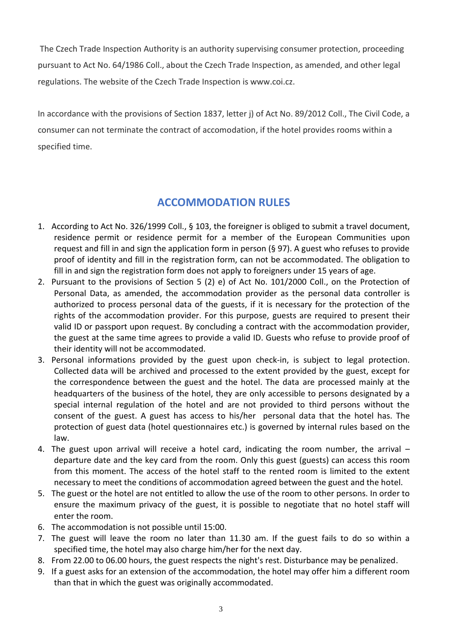The Czech Trade Inspection Authority is an authority supervising consumer protection, proceeding pursuant to Act No. 64/1986 Coll., about the Czech Trade Inspection, as amended, and other legal regulations. The website of the Czech Trade Inspection is www.coi.cz.

In accordance with the provisions of Section 1837, letter j) of Act No. 89/2012 Coll., The Civil Code, a consumer can not terminate the contract of accomodation, if the hotel provides rooms within a specified time.

# **ACCOMMODATION RULES**

- 1. According to Act No. 326/1999 Coll., § 103, the foreigner is obliged to submit a travel document, residence permit or residence permit for a member of the European Communities upon request and fill in and sign the application form in person (§ 97). A guest who refuses to provide proof of identity and fill in the registration form, can not be accommodated. The obligation to fill in and sign the registration form does not apply to foreigners under 15 years of age.
- 2. Pursuant to the provisions of Section 5 (2) e) of Act No. 101/2000 Coll., on the Protection of Personal Data, as amended, the accommodation provider as the personal data controller is authorized to process personal data of the guests, if it is necessary for the protection of the rights of the accommodation provider. For this purpose, guests are required to present their valid ID or passport upon request. By concluding a contract with the accommodation provider, the guest at the same time agrees to provide a valid ID. Guests who refuse to provide proof of their identity will not be accommodated.
- 3. Personal informations provided by the guest upon check-in, is subject to legal protection. Collected data will be archived and processed to the extent provided by the guest, except for the correspondence between the guest and the hotel. The data are processed mainly at the headquarters of the business of the hotel, they are only accessible to persons designated by a special internal regulation of the hotel and are not provided to third persons without the consent of the guest. A guest has access to his/her personal data that the hotel has. The protection of guest data (hotel questionnaires etc.) is governed by internal rules based on the law.
- 4. The guest upon arrival will receive a hotel card, indicating the room number, the arrival departure date and the key card from the room. Only this guest (guests) can access this room from this moment. The access of the hotel staff to the rented room is limited to the extent necessary to meet the conditions of accommodation agreed between the guest and the hotel.
- 5. The guest or the hotel are not entitled to allow the use of the room to other persons. In order to ensure the maximum privacy of the guest, it is possible to negotiate that no hotel staff will enter the room.
- 6. The accommodation is not possible until 15:00.
- 7. The guest will leave the room no later than 11.30 am. If the guest fails to do so within a specified time, the hotel may also charge him/her for the next day.
- 8. From 22.00 to 06.00 hours, the guest respects the night's rest. Disturbance may be penalized.
- 9. If a guest asks for an extension of the accommodation, the hotel may offer him a different room than that in which the guest was originally accommodated.